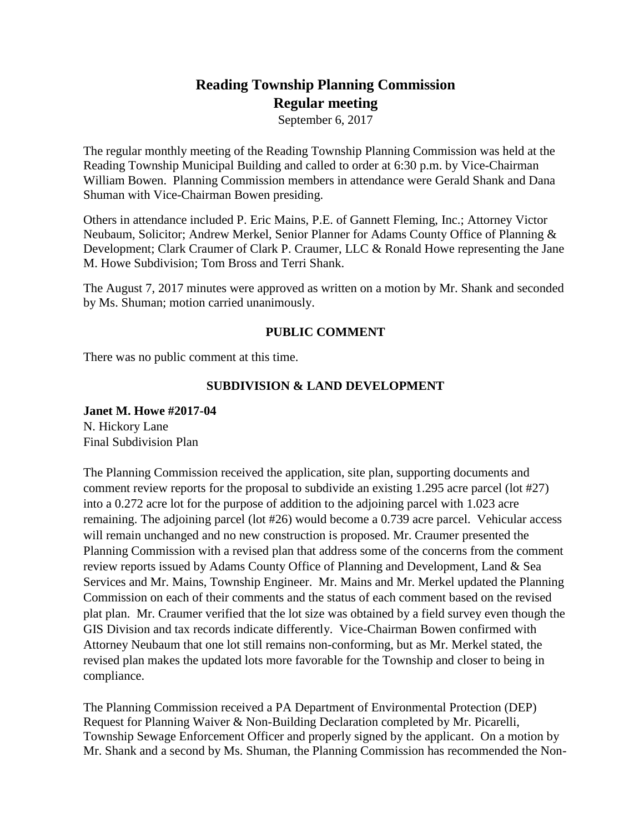# **Reading Township Planning Commission Regular meeting**

September 6, 2017

The regular monthly meeting of the Reading Township Planning Commission was held at the Reading Township Municipal Building and called to order at 6:30 p.m. by Vice-Chairman William Bowen. Planning Commission members in attendance were Gerald Shank and Dana Shuman with Vice-Chairman Bowen presiding.

Others in attendance included P. Eric Mains, P.E. of Gannett Fleming, Inc.; Attorney Victor Neubaum, Solicitor; Andrew Merkel, Senior Planner for Adams County Office of Planning & Development; Clark Craumer of Clark P. Craumer, LLC & Ronald Howe representing the Jane M. Howe Subdivision; Tom Bross and Terri Shank.

The August 7, 2017 minutes were approved as written on a motion by Mr. Shank and seconded by Ms. Shuman; motion carried unanimously.

# **PUBLIC COMMENT**

There was no public comment at this time.

# **SUBDIVISION & LAND DEVELOPMENT**

# **Janet M. Howe #2017-04** N. Hickory Lane

Final Subdivision Plan

The Planning Commission received the application, site plan, supporting documents and comment review reports for the proposal to subdivide an existing 1.295 acre parcel (lot #27) into a 0.272 acre lot for the purpose of addition to the adjoining parcel with 1.023 acre remaining. The adjoining parcel (lot #26) would become a 0.739 acre parcel. Vehicular access will remain unchanged and no new construction is proposed. Mr. Craumer presented the Planning Commission with a revised plan that address some of the concerns from the comment review reports issued by Adams County Office of Planning and Development, Land & Sea Services and Mr. Mains, Township Engineer. Mr. Mains and Mr. Merkel updated the Planning Commission on each of their comments and the status of each comment based on the revised plat plan. Mr. Craumer verified that the lot size was obtained by a field survey even though the GIS Division and tax records indicate differently. Vice-Chairman Bowen confirmed with Attorney Neubaum that one lot still remains non-conforming, but as Mr. Merkel stated, the revised plan makes the updated lots more favorable for the Township and closer to being in compliance.

The Planning Commission received a PA Department of Environmental Protection (DEP) Request for Planning Waiver & Non-Building Declaration completed by Mr. Picarelli, Township Sewage Enforcement Officer and properly signed by the applicant. On a motion by Mr. Shank and a second by Ms. Shuman, the Planning Commission has recommended the Non-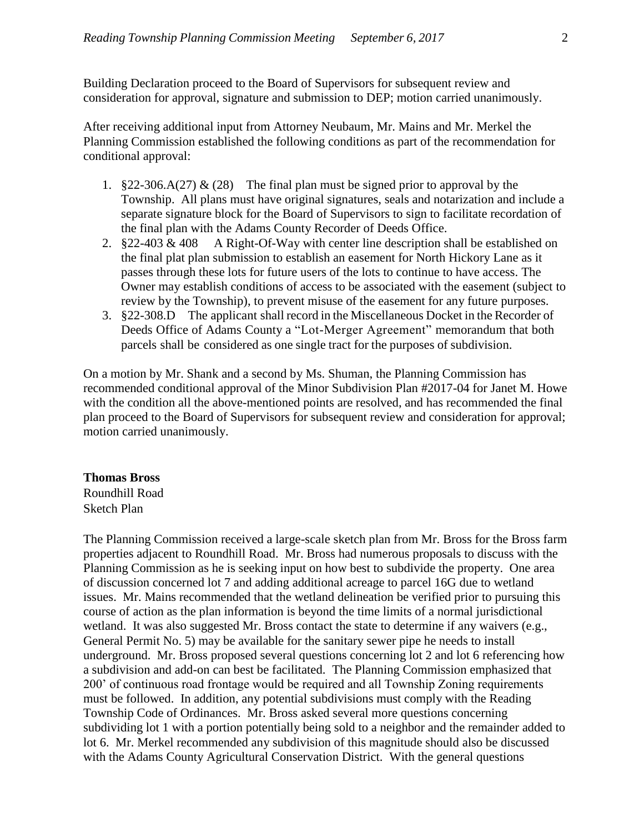Building Declaration proceed to the Board of Supervisors for subsequent review and consideration for approval, signature and submission to DEP; motion carried unanimously.

After receiving additional input from Attorney Neubaum, Mr. Mains and Mr. Merkel the Planning Commission established the following conditions as part of the recommendation for conditional approval:

- 1.  $§22-306.A(27) \& (28)$  The final plan must be signed prior to approval by the Township. All plans must have original signatures, seals and notarization and include a separate signature block for the Board of Supervisors to sign to facilitate recordation of the final plan with the Adams County Recorder of Deeds Office.
- 2. §22-403 & 408 A Right-Of-Way with center line description shall be established on the final plat plan submission to establish an easement for North Hickory Lane as it passes through these lots for future users of the lots to continue to have access. The Owner may establish conditions of access to be associated with the easement (subject to review by the Township), to prevent misuse of the easement for any future purposes.
- 3. §22-308.D The applicant shall record in the Miscellaneous Docket in the Recorder of Deeds Office of Adams County a "Lot-Merger Agreement" memorandum that both parcels shall be considered as one single tract for the purposes of subdivision.

On a motion by Mr. Shank and a second by Ms. Shuman, the Planning Commission has recommended conditional approval of the Minor Subdivision Plan #2017-04 for Janet M. Howe with the condition all the above-mentioned points are resolved, and has recommended the final plan proceed to the Board of Supervisors for subsequent review and consideration for approval; motion carried unanimously.

#### **Thomas Bross**

Roundhill Road Sketch Plan

The Planning Commission received a large-scale sketch plan from Mr. Bross for the Bross farm properties adjacent to Roundhill Road. Mr. Bross had numerous proposals to discuss with the Planning Commission as he is seeking input on how best to subdivide the property. One area of discussion concerned lot 7 and adding additional acreage to parcel 16G due to wetland issues. Mr. Mains recommended that the wetland delineation be verified prior to pursuing this course of action as the plan information is beyond the time limits of a normal jurisdictional wetland. It was also suggested Mr. Bross contact the state to determine if any waivers (e.g., General Permit No. 5) may be available for the sanitary sewer pipe he needs to install underground. Mr. Bross proposed several questions concerning lot 2 and lot 6 referencing how a subdivision and add-on can best be facilitated. The Planning Commission emphasized that 200' of continuous road frontage would be required and all Township Zoning requirements must be followed. In addition, any potential subdivisions must comply with the Reading Township Code of Ordinances. Mr. Bross asked several more questions concerning subdividing lot 1 with a portion potentially being sold to a neighbor and the remainder added to lot 6. Mr. Merkel recommended any subdivision of this magnitude should also be discussed with the Adams County Agricultural Conservation District. With the general questions